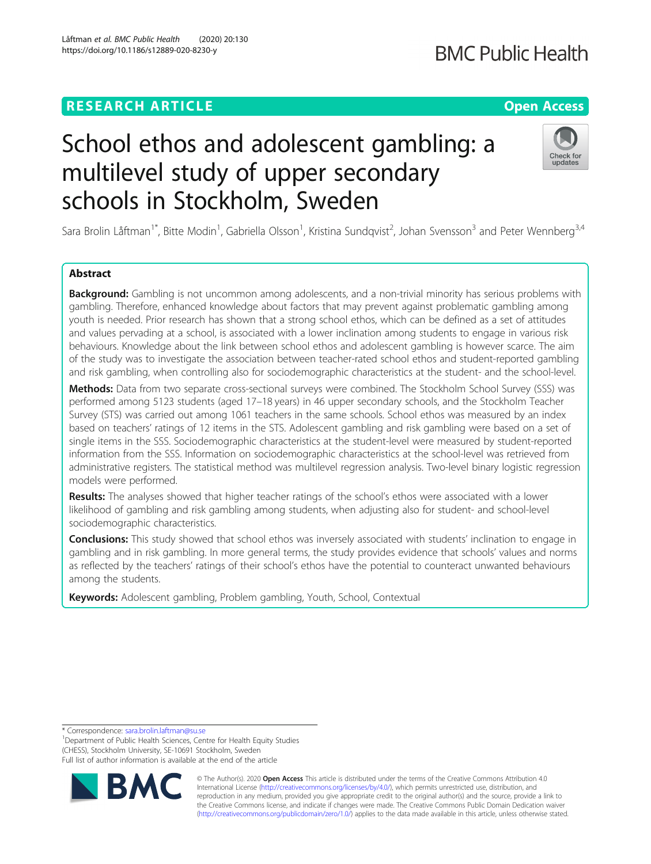# **RESEARCH ARTICLE Example 2014 12:30 The Contract of Contract ACCESS**

# School ethos and adolescent gambling: a multilevel study of upper secondary schools in Stockholm, Sweden

Sara Brolin Låftman<sup>1\*</sup>, Bitte Modin<sup>1</sup>, Gabriella Olsson<sup>1</sup>, Kristina Sundqvist<sup>2</sup>, Johan Svensson<sup>3</sup> and Peter Wennberg<sup>3,4</sup>

# Abstract

Background: Gambling is not uncommon among adolescents, and a non-trivial minority has serious problems with gambling. Therefore, enhanced knowledge about factors that may prevent against problematic gambling among youth is needed. Prior research has shown that a strong school ethos, which can be defined as a set of attitudes and values pervading at a school, is associated with a lower inclination among students to engage in various risk behaviours. Knowledge about the link between school ethos and adolescent gambling is however scarce. The aim of the study was to investigate the association between teacher-rated school ethos and student-reported gambling and risk gambling, when controlling also for sociodemographic characteristics at the student- and the school-level.

Methods: Data from two separate cross-sectional surveys were combined. The Stockholm School Survey (SSS) was performed among 5123 students (aged 17–18 years) in 46 upper secondary schools, and the Stockholm Teacher Survey (STS) was carried out among 1061 teachers in the same schools. School ethos was measured by an index based on teachers' ratings of 12 items in the STS. Adolescent gambling and risk gambling were based on a set of single items in the SSS. Sociodemographic characteristics at the student-level were measured by student-reported information from the SSS. Information on sociodemographic characteristics at the school-level was retrieved from administrative registers. The statistical method was multilevel regression analysis. Two-level binary logistic regression models were performed.

Results: The analyses showed that higher teacher ratings of the school's ethos were associated with a lower likelihood of gambling and risk gambling among students, when adjusting also for student- and school-level sociodemographic characteristics.

**Conclusions:** This study showed that school ethos was inversely associated with students' inclination to engage in gambling and in risk gambling. In more general terms, the study provides evidence that schools' values and norms as reflected by the teachers' ratings of their school's ethos have the potential to counteract unwanted behaviours among the students.

Keywords: Adolescent gambling, Problem gambling, Youth, School, Contextual

\* Correspondence: [sara.brolin.laftman@su.se](mailto:sara.brolin.laftman@su.se) <sup>1</sup>

<sup>1</sup>Department of Public Health Sciences, Centre for Health Equity Studies (CHESS), Stockholm University, SE-10691 Stockholm, Sweden Full list of author information is available at the end of the article

> © The Author(s). 2020 **Open Access** This article is distributed under the terms of the Creative Commons Attribution 4.0 International License [\(http://creativecommons.org/licenses/by/4.0/](http://creativecommons.org/licenses/by/4.0/)), which permits unrestricted use, distribution, and reproduction in any medium, provided you give appropriate credit to the original author(s) and the source, provide a link to the Creative Commons license, and indicate if changes were made. The Creative Commons Public Domain Dedication waiver [\(http://creativecommons.org/publicdomain/zero/1.0/](http://creativecommons.org/publicdomain/zero/1.0/)) applies to the data made available in this article, unless otherwise stated.

Låftman et al. BMC Public Health (2020) 20:130 https://doi.org/10.1186/s12889-020-8230-y





# **BMC Public Health**

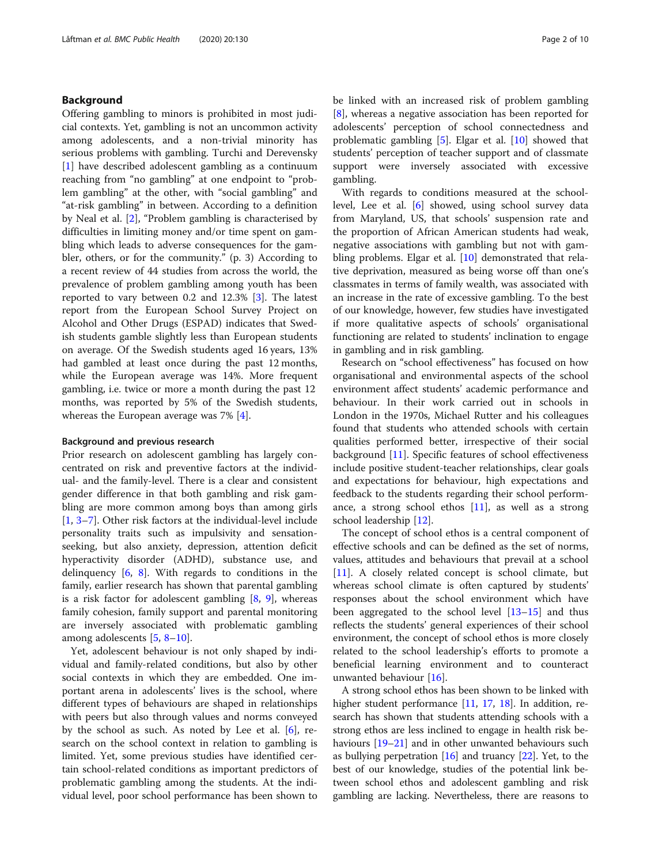# Background

Offering gambling to minors is prohibited in most judicial contexts. Yet, gambling is not an uncommon activity among adolescents, and a non-trivial minority has serious problems with gambling. Turchi and Derevensky [[1\]](#page-9-0) have described adolescent gambling as a continuum reaching from "no gambling" at one endpoint to "problem gambling" at the other, with "social gambling" and "at-risk gambling" in between. According to a definition by Neal et al. [\[2](#page-9-0)], "Problem gambling is characterised by difficulties in limiting money and/or time spent on gambling which leads to adverse consequences for the gambler, others, or for the community." (p. 3) According to a recent review of 44 studies from across the world, the prevalence of problem gambling among youth has been reported to vary between 0.2 and 12.3% [\[3](#page-9-0)]. The latest report from the European School Survey Project on Alcohol and Other Drugs (ESPAD) indicates that Swedish students gamble slightly less than European students on average. Of the Swedish students aged 16 years, 13% had gambled at least once during the past 12 months, while the European average was 14%. More frequent gambling, i.e. twice or more a month during the past 12 months, was reported by 5% of the Swedish students, whereas the European average was 7% [[4](#page-9-0)].

# Background and previous research

Prior research on adolescent gambling has largely concentrated on risk and preventive factors at the individual- and the family-level. There is a clear and consistent gender difference in that both gambling and risk gambling are more common among boys than among girls [[1,](#page-9-0) [3](#page-9-0)–[7\]](#page-9-0). Other risk factors at the individual-level include personality traits such as impulsivity and sensationseeking, but also anxiety, depression, attention deficit hyperactivity disorder (ADHD), substance use, and delinquency  $[6, 8]$  $[6, 8]$  $[6, 8]$  $[6, 8]$ . With regards to conditions in the family, earlier research has shown that parental gambling is a risk factor for adolescent gambling [[8,](#page-9-0) [9](#page-9-0)], whereas family cohesion, family support and parental monitoring are inversely associated with problematic gambling among adolescents [\[5](#page-9-0), [8](#page-9-0)–[10\]](#page-9-0).

Yet, adolescent behaviour is not only shaped by individual and family-related conditions, but also by other social contexts in which they are embedded. One important arena in adolescents' lives is the school, where different types of behaviours are shaped in relationships with peers but also through values and norms conveyed by the school as such. As noted by Lee et al. [[6\]](#page-9-0), research on the school context in relation to gambling is limited. Yet, some previous studies have identified certain school-related conditions as important predictors of problematic gambling among the students. At the individual level, poor school performance has been shown to be linked with an increased risk of problem gambling [[8\]](#page-9-0), whereas a negative association has been reported for adolescents' perception of school connectedness and problematic gambling  $[5]$  $[5]$ . Elgar et al.  $[10]$  $[10]$  showed that students' perception of teacher support and of classmate support were inversely associated with excessive gambling.

With regards to conditions measured at the schoollevel, Lee et al. [\[6](#page-9-0)] showed, using school survey data from Maryland, US, that schools' suspension rate and the proportion of African American students had weak, negative associations with gambling but not with gam-bling problems. Elgar et al. [[10\]](#page-9-0) demonstrated that relative deprivation, measured as being worse off than one's classmates in terms of family wealth, was associated with an increase in the rate of excessive gambling. To the best of our knowledge, however, few studies have investigated if more qualitative aspects of schools' organisational functioning are related to students' inclination to engage in gambling and in risk gambling.

Research on "school effectiveness" has focused on how organisational and environmental aspects of the school environment affect students' academic performance and behaviour. In their work carried out in schools in London in the 1970s, Michael Rutter and his colleagues found that students who attended schools with certain qualities performed better, irrespective of their social background [\[11](#page-9-0)]. Specific features of school effectiveness include positive student-teacher relationships, clear goals and expectations for behaviour, high expectations and feedback to the students regarding their school performance, a strong school ethos [[11\]](#page-9-0), as well as a strong school leadership [[12](#page-9-0)].

The concept of school ethos is a central component of effective schools and can be defined as the set of norms, values, attitudes and behaviours that prevail at a school [[11\]](#page-9-0). A closely related concept is school climate, but whereas school climate is often captured by students' responses about the school environment which have been aggregated to the school level [\[13](#page-9-0)–[15\]](#page-9-0) and thus reflects the students' general experiences of their school environment, the concept of school ethos is more closely related to the school leadership's efforts to promote a beneficial learning environment and to counteract unwanted behaviour [\[16](#page-9-0)].

A strong school ethos has been shown to be linked with higher student performance [[11](#page-9-0), [17,](#page-9-0) [18\]](#page-9-0). In addition, research has shown that students attending schools with a strong ethos are less inclined to engage in health risk be-haviours [\[19](#page-9-0)–[21](#page-9-0)] and in other unwanted behaviours such as bullying perpetration  $[16]$  and truancy  $[22]$  $[22]$  $[22]$ . Yet, to the best of our knowledge, studies of the potential link between school ethos and adolescent gambling and risk gambling are lacking. Nevertheless, there are reasons to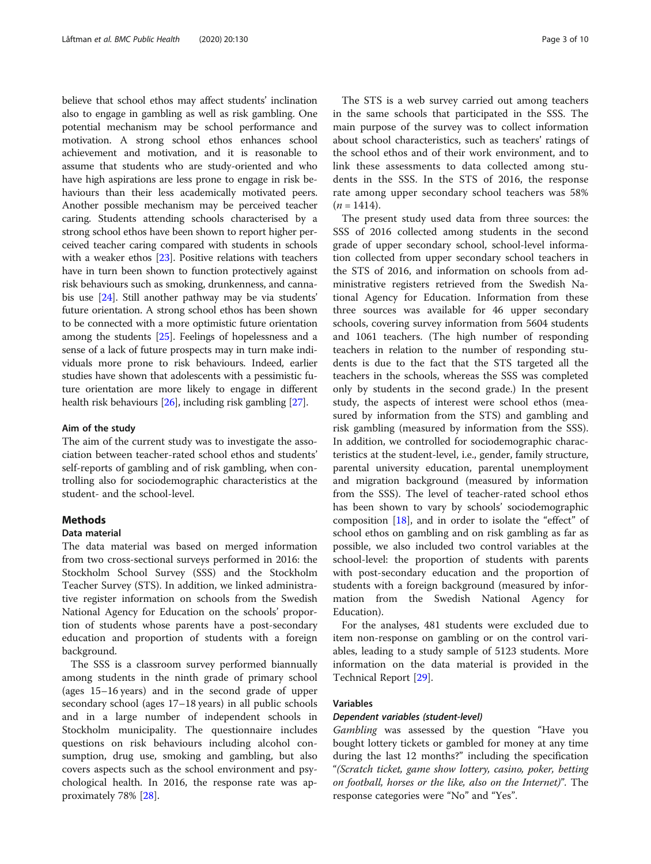believe that school ethos may affect students' inclination also to engage in gambling as well as risk gambling. One potential mechanism may be school performance and motivation. A strong school ethos enhances school achievement and motivation, and it is reasonable to assume that students who are study-oriented and who have high aspirations are less prone to engage in risk behaviours than their less academically motivated peers. Another possible mechanism may be perceived teacher caring. Students attending schools characterised by a strong school ethos have been shown to report higher perceived teacher caring compared with students in schools with a weaker ethos [[23](#page-9-0)]. Positive relations with teachers have in turn been shown to function protectively against risk behaviours such as smoking, drunkenness, and cannabis use [\[24\]](#page-9-0). Still another pathway may be via students' future orientation. A strong school ethos has been shown to be connected with a more optimistic future orientation among the students [\[25](#page-9-0)]. Feelings of hopelessness and a sense of a lack of future prospects may in turn make individuals more prone to risk behaviours. Indeed, earlier studies have shown that adolescents with a pessimistic future orientation are more likely to engage in different health risk behaviours [\[26\]](#page-9-0), including risk gambling [\[27](#page-9-0)].

# Aim of the study

The aim of the current study was to investigate the association between teacher-rated school ethos and students' self-reports of gambling and of risk gambling, when controlling also for sociodemographic characteristics at the student- and the school-level.

# **Methods**

#### Data material

The data material was based on merged information from two cross-sectional surveys performed in 2016: the Stockholm School Survey (SSS) and the Stockholm Teacher Survey (STS). In addition, we linked administrative register information on schools from the Swedish National Agency for Education on the schools' proportion of students whose parents have a post-secondary education and proportion of students with a foreign background.

The SSS is a classroom survey performed biannually among students in the ninth grade of primary school (ages 15–16 years) and in the second grade of upper secondary school (ages 17–18 years) in all public schools and in a large number of independent schools in Stockholm municipality. The questionnaire includes questions on risk behaviours including alcohol consumption, drug use, smoking and gambling, but also covers aspects such as the school environment and psychological health. In 2016, the response rate was approximately 78% [[28\]](#page-9-0).

The STS is a web survey carried out among teachers in the same schools that participated in the SSS. The main purpose of the survey was to collect information about school characteristics, such as teachers' ratings of the school ethos and of their work environment, and to link these assessments to data collected among students in the SSS. In the STS of 2016, the response rate among upper secondary school teachers was 58%  $(n = 1414)$ .

The present study used data from three sources: the SSS of 2016 collected among students in the second grade of upper secondary school, school-level information collected from upper secondary school teachers in the STS of 2016, and information on schools from administrative registers retrieved from the Swedish National Agency for Education. Information from these three sources was available for 46 upper secondary schools, covering survey information from 5604 students and 1061 teachers. (The high number of responding teachers in relation to the number of responding students is due to the fact that the STS targeted all the teachers in the schools, whereas the SSS was completed only by students in the second grade.) In the present study, the aspects of interest were school ethos (measured by information from the STS) and gambling and risk gambling (measured by information from the SSS). In addition, we controlled for sociodemographic characteristics at the student-level, i.e., gender, family structure, parental university education, parental unemployment and migration background (measured by information from the SSS). The level of teacher-rated school ethos has been shown to vary by schools' sociodemographic composition [\[18](#page-9-0)], and in order to isolate the "effect" of school ethos on gambling and on risk gambling as far as possible, we also included two control variables at the school-level: the proportion of students with parents with post-secondary education and the proportion of students with a foreign background (measured by information from the Swedish National Agency for Education).

For the analyses, 481 students were excluded due to item non-response on gambling or on the control variables, leading to a study sample of 5123 students. More information on the data material is provided in the Technical Report [\[29](#page-9-0)].

# Variables

### Dependent variables (student-level)

Gambling was assessed by the question "Have you bought lottery tickets or gambled for money at any time during the last 12 months?" including the specification "(Scratch ticket, game show lottery, casino, poker, betting on football, horses or the like, also on the Internet)". The response categories were "No" and "Yes".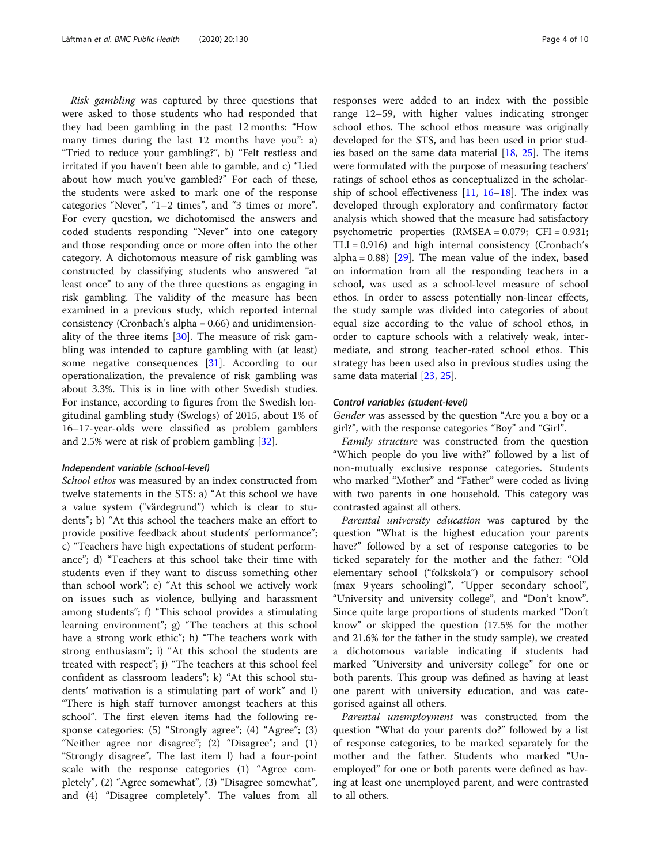Risk gambling was captured by three questions that were asked to those students who had responded that they had been gambling in the past 12 months: "How many times during the last 12 months have you": a) "Tried to reduce your gambling?", b) "Felt restless and irritated if you haven't been able to gamble, and c) "Lied about how much you've gambled?" For each of these, the students were asked to mark one of the response categories "Never", "1–2 times", and "3 times or more". For every question, we dichotomised the answers and coded students responding "Never" into one category and those responding once or more often into the other category. A dichotomous measure of risk gambling was constructed by classifying students who answered "at least once" to any of the three questions as engaging in risk gambling. The validity of the measure has been examined in a previous study, which reported internal consistency (Cronbach's alpha = 0.66) and unidimensionality of the three items [\[30\]](#page-9-0). The measure of risk gambling was intended to capture gambling with (at least) some negative consequences [[31\]](#page-9-0). According to our operationalization, the prevalence of risk gambling was about 3.3%. This is in line with other Swedish studies. For instance, according to figures from the Swedish longitudinal gambling study (Swelogs) of 2015, about 1% of 16–17-year-olds were classified as problem gamblers and 2.5% were at risk of problem gambling [[32\]](#page-9-0).

### Independent variable (school-level)

School ethos was measured by an index constructed from twelve statements in the STS: a) "At this school we have a value system ("värdegrund") which is clear to students"; b) "At this school the teachers make an effort to provide positive feedback about students' performance"; c) "Teachers have high expectations of student performance"; d) "Teachers at this school take their time with students even if they want to discuss something other than school work"; e) "At this school we actively work on issues such as violence, bullying and harassment among students"; f) "This school provides a stimulating learning environment"; g) "The teachers at this school have a strong work ethic"; h) "The teachers work with strong enthusiasm"; i) "At this school the students are treated with respect"; j) "The teachers at this school feel confident as classroom leaders"; k) "At this school students' motivation is a stimulating part of work" and l) "There is high staff turnover amongst teachers at this school". The first eleven items had the following response categories: (5) "Strongly agree"; (4) "Agree"; (3) "Neither agree nor disagree"; (2) "Disagree"; and (1) "Strongly disagree", The last item l) had a four-point scale with the response categories (1) "Agree completely", (2) "Agree somewhat", (3) "Disagree somewhat", and (4) "Disagree completely". The values from all

responses were added to an index with the possible range 12–59, with higher values indicating stronger school ethos. The school ethos measure was originally developed for the STS, and has been used in prior studies based on the same data material [\[18,](#page-9-0) [25\]](#page-9-0). The items were formulated with the purpose of measuring teachers' ratings of school ethos as conceptualized in the scholarship of school effectiveness  $[11, 16-18]$  $[11, 16-18]$  $[11, 16-18]$  $[11, 16-18]$  $[11, 16-18]$  $[11, 16-18]$ . The index was developed through exploratory and confirmatory factor analysis which showed that the measure had satisfactory psychometric properties (RMSEA = 0.079; CFI = 0.931; TLI = 0.916) and high internal consistency (Cronbach's alpha =  $0.88$ ) [[29\]](#page-9-0). The mean value of the index, based on information from all the responding teachers in a school, was used as a school-level measure of school ethos. In order to assess potentially non-linear effects, the study sample was divided into categories of about equal size according to the value of school ethos, in order to capture schools with a relatively weak, intermediate, and strong teacher-rated school ethos. This strategy has been used also in previous studies using the same data material [[23,](#page-9-0) [25\]](#page-9-0).

# Control variables (student-level)

Gender was assessed by the question "Are you a boy or a girl?", with the response categories "Boy" and "Girl".

Family structure was constructed from the question "Which people do you live with?" followed by a list of non-mutually exclusive response categories. Students who marked "Mother" and "Father" were coded as living with two parents in one household. This category was contrasted against all others.

Parental university education was captured by the question "What is the highest education your parents have?" followed by a set of response categories to be ticked separately for the mother and the father: "Old elementary school ("folkskola") or compulsory school (max 9 years schooling)", "Upper secondary school", "University and university college", and "Don't know". Since quite large proportions of students marked "Don't know" or skipped the question (17.5% for the mother and 21.6% for the father in the study sample), we created a dichotomous variable indicating if students had marked "University and university college" for one or both parents. This group was defined as having at least one parent with university education, and was categorised against all others.

Parental unemployment was constructed from the question "What do your parents do?" followed by a list of response categories, to be marked separately for the mother and the father. Students who marked "Unemployed" for one or both parents were defined as having at least one unemployed parent, and were contrasted to all others.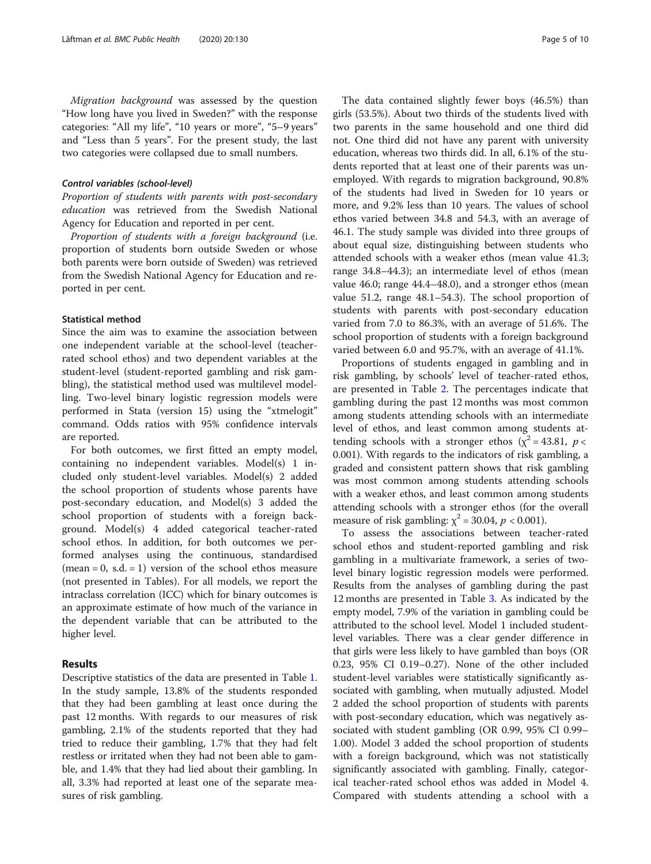Migration background was assessed by the question "How long have you lived in Sweden?" with the response categories: "All my life", "10 years or more", "5–9 years" and "Less than 5 years". For the present study, the last two categories were collapsed due to small numbers.

# Control variables (school-level)

Proportion of students with parents with post-secondary education was retrieved from the Swedish National Agency for Education and reported in per cent.

Proportion of students with a foreign background (i.e. proportion of students born outside Sweden or whose both parents were born outside of Sweden) was retrieved from the Swedish National Agency for Education and reported in per cent.

# Statistical method

Since the aim was to examine the association between one independent variable at the school-level (teacherrated school ethos) and two dependent variables at the student-level (student-reported gambling and risk gambling), the statistical method used was multilevel modelling. Two-level binary logistic regression models were performed in Stata (version 15) using the "xtmelogit" command. Odds ratios with 95% confidence intervals are reported.

For both outcomes, we first fitted an empty model, containing no independent variables. Model(s) 1 included only student-level variables. Model(s) 2 added the school proportion of students whose parents have post-secondary education, and Model(s) 3 added the school proportion of students with a foreign background. Model(s) 4 added categorical teacher-rated school ethos. In addition, for both outcomes we performed analyses using the continuous, standardised  $(mean = 0, s.d. = 1)$  version of the school ethos measure (not presented in Tables). For all models, we report the intraclass correlation (ICC) which for binary outcomes is an approximate estimate of how much of the variance in the dependent variable that can be attributed to the higher level.

# Results

Descriptive statistics of the data are presented in Table [1](#page-5-0). In the study sample, 13.8% of the students responded that they had been gambling at least once during the past 12 months. With regards to our measures of risk gambling, 2.1% of the students reported that they had tried to reduce their gambling, 1.7% that they had felt restless or irritated when they had not been able to gamble, and 1.4% that they had lied about their gambling. In all, 3.3% had reported at least one of the separate measures of risk gambling.

The data contained slightly fewer boys (46.5%) than girls (53.5%). About two thirds of the students lived with two parents in the same household and one third did not. One third did not have any parent with university education, whereas two thirds did. In all, 6.1% of the students reported that at least one of their parents was unemployed. With regards to migration background, 90.8% of the students had lived in Sweden for 10 years or more, and 9.2% less than 10 years. The values of school ethos varied between 34.8 and 54.3, with an average of 46.1. The study sample was divided into three groups of about equal size, distinguishing between students who attended schools with a weaker ethos (mean value 41.3; range 34.8–44.3); an intermediate level of ethos (mean value 46.0; range 44.4–48.0), and a stronger ethos (mean value 51.2, range 48.1–54.3). The school proportion of students with parents with post-secondary education varied from 7.0 to 86.3%, with an average of 51.6%. The school proportion of students with a foreign background varied between 6.0 and 95.7%, with an average of 41.1%.

Proportions of students engaged in gambling and in risk gambling, by schools' level of teacher-rated ethos, are presented in Table [2](#page-5-0). The percentages indicate that gambling during the past 12 months was most common among students attending schools with an intermediate level of ethos, and least common among students attending schools with a stronger ethos ( $\chi^2$  = 43.81, *p* < 0.001). With regards to the indicators of risk gambling, a graded and consistent pattern shows that risk gambling was most common among students attending schools with a weaker ethos, and least common among students attending schools with a stronger ethos (for the overall measure of risk gambling:  $\chi^2$  = 30.04,  $p$  < 0.001).

To assess the associations between teacher-rated school ethos and student-reported gambling and risk gambling in a multivariate framework, a series of twolevel binary logistic regression models were performed. Results from the analyses of gambling during the past 12 months are presented in Table [3](#page-6-0). As indicated by the empty model, 7.9% of the variation in gambling could be attributed to the school level. Model 1 included studentlevel variables. There was a clear gender difference in that girls were less likely to have gambled than boys (OR 0.23, 95% CI 0.19–0.27). None of the other included student-level variables were statistically significantly associated with gambling, when mutually adjusted. Model 2 added the school proportion of students with parents with post-secondary education, which was negatively associated with student gambling (OR 0.99, 95% CI 0.99– 1.00). Model 3 added the school proportion of students with a foreign background, which was not statistically significantly associated with gambling. Finally, categorical teacher-rated school ethos was added in Model 4. Compared with students attending a school with a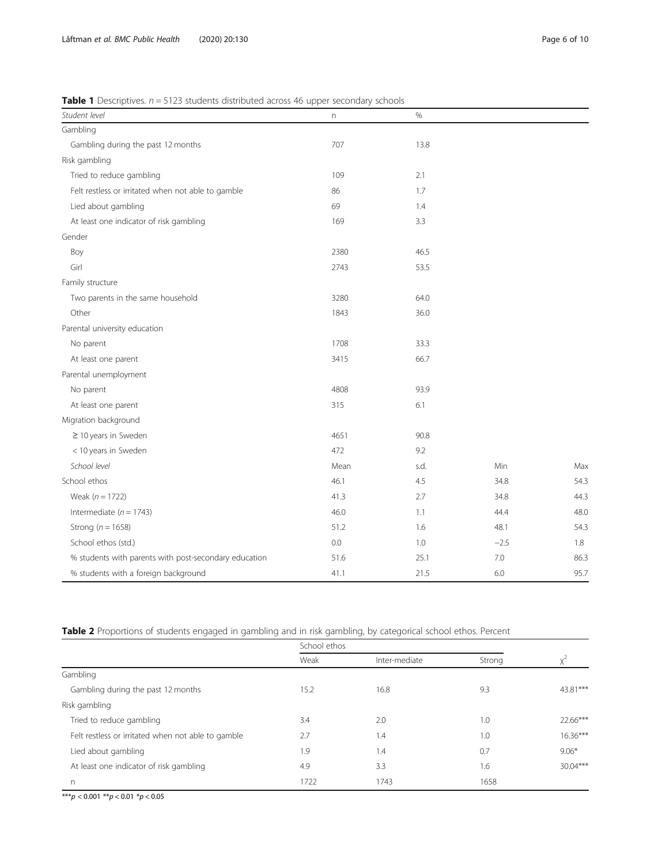# <span id="page-5-0"></span>**Table 1** Descriptives.  $n = 5123$  students distributed across 46 upper secondary schools

| Student level                                         | n    | %    |        |      |
|-------------------------------------------------------|------|------|--------|------|
| Gambling                                              |      |      |        |      |
| Gambling during the past 12 months                    | 707  | 13.8 |        |      |
| Risk gambling                                         |      |      |        |      |
| Tried to reduce gambling                              | 109  | 2.1  |        |      |
| Felt restless or irritated when not able to gamble    | 86   | 1.7  |        |      |
| Lied about gambling                                   | 69   | 1.4  |        |      |
| At least one indicator of risk gambling               | 169  | 3.3  |        |      |
| Gender                                                |      |      |        |      |
| Boy                                                   | 2380 | 46.5 |        |      |
| Girl                                                  | 2743 | 53.5 |        |      |
| Family structure                                      |      |      |        |      |
| Two parents in the same household                     | 3280 | 64.0 |        |      |
| Other                                                 | 1843 | 36.0 |        |      |
| Parental university education                         |      |      |        |      |
| No parent                                             | 1708 | 33.3 |        |      |
| At least one parent                                   | 3415 | 66.7 |        |      |
| Parental unemployment                                 |      |      |        |      |
| No parent                                             | 4808 | 93.9 |        |      |
| At least one parent                                   | 315  | 6.1  |        |      |
| Migration background                                  |      |      |        |      |
| $\geq$ 10 years in Sweden                             | 4651 | 90.8 |        |      |
| < 10 years in Sweden                                  | 472  | 9.2  |        |      |
| School level                                          | Mean | s.d. | Min    | Max  |
| School ethos                                          | 46.1 | 4.5  | 34.8   | 54.3 |
| Weak ( $n = 1722$ )                                   | 41.3 | 2.7  | 34.8   | 44.3 |
| Intermediate ( $n = 1743$ )                           | 46.0 | 1.1  | 44.4   | 48.0 |
| Strong ( $n = 1658$ )                                 | 51.2 | 1.6  | 48.1   | 54.3 |
| School ethos (std.)                                   | 0.0  | 1.0  | $-2.5$ | 1.8  |
| % students with parents with post-secondary education | 51.6 | 25.1 | 7.0    | 86.3 |
| % students with a foreign background                  | 41.1 | 21.5 | 6.0    | 95.7 |

Table 2 Proportions of students engaged in gambling and in risk gambling, by categorical school ethos. Percent

|                                                    | School ethos |               |        |            |
|----------------------------------------------------|--------------|---------------|--------|------------|
|                                                    | Weak         | Inter-mediate | Strong |            |
| Gambling                                           |              |               |        |            |
| Gambling during the past 12 months                 | 15.2         | 16.8          | 9.3    | 43.81***   |
| Risk gambling                                      |              |               |        |            |
| Tried to reduce gambling                           | 3.4          | 2.0           | 1.0    | 22.66***   |
| Felt restless or irritated when not able to gamble | 2.7          | 1.4           | 1.0    | $16.36***$ |
| Lied about gambling                                | 1.9          | 1.4           | 0.7    | $9.06*$    |
| At least one indicator of risk gambling            | 4.9          | 3.3           | 1.6    | $30.04***$ |
| n.                                                 | 1722         | 1743          | 1658   |            |

\*\*\*p < 0.001 \*\*p < 0.01 \*p < 0.05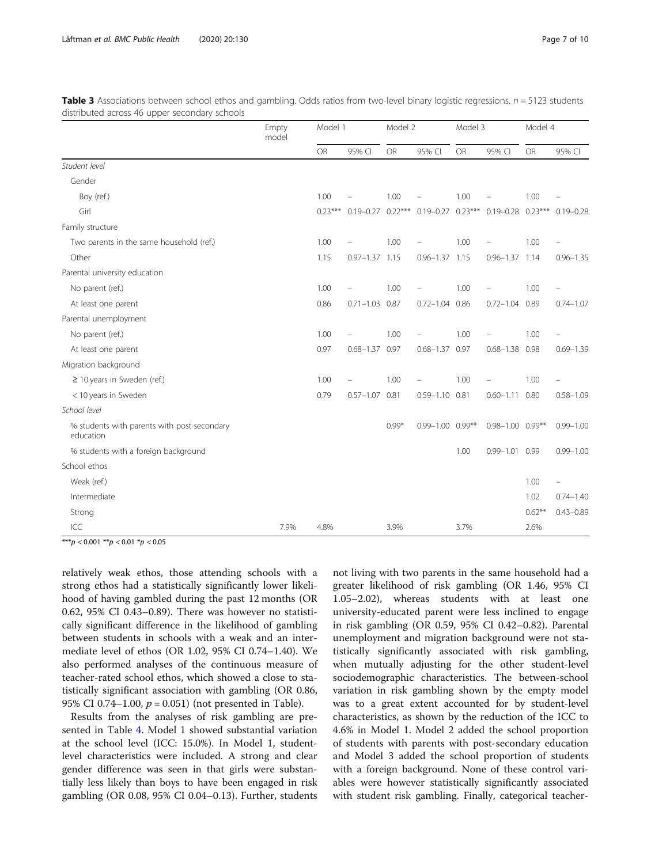|                                                          | Empty<br>model | Model 1   |                    | Model 2   |                        | Model 3   |                                                       | Model 4   |               |
|----------------------------------------------------------|----------------|-----------|--------------------|-----------|------------------------|-----------|-------------------------------------------------------|-----------|---------------|
|                                                          |                | <b>OR</b> | 95% CI             | <b>OR</b> | 95% CI                 | <b>OR</b> | 95% CI                                                | <b>OR</b> | 95% CI        |
| Student level                                            |                |           |                    |           |                        |           |                                                       |           |               |
| Gender                                                   |                |           |                    |           |                        |           |                                                       |           |               |
| Boy (ref.)                                               |                | 1.00      |                    | 1.00      |                        | 1.00      |                                                       | 1.00      |               |
| Girl                                                     |                | $0.23***$ |                    |           |                        |           | 0.19-0.27 0.22*** 0.19-0.27 0.23*** 0.19-0.28 0.23*** |           | $0.19 - 0.28$ |
| Family structure                                         |                |           |                    |           |                        |           |                                                       |           |               |
| Two parents in the same household (ref.)                 |                | 1.00      |                    | 1.00      |                        | 1.00      |                                                       | 1.00      |               |
| Other                                                    |                | 1.15      | $0.97 - 1.37$ 1.15 |           | $0.96 - 1.37$ 1.15     |           | $0.96 - 1.37$ 1.14                                    |           | $0.96 - 1.35$ |
| Parental university education                            |                |           |                    |           |                        |           |                                                       |           |               |
| No parent (ref.)                                         |                | 1.00      |                    | 1.00      |                        | 1.00      |                                                       | 1.00      |               |
| At least one parent                                      |                | 0.86      | $0.71 - 1.03$ 0.87 |           | $0.72 - 1.04$          | 0.86      | $0.72 - 1.04$ 0.89                                    |           | $0.74 - 1.07$ |
| Parental unemployment                                    |                |           |                    |           |                        |           |                                                       |           |               |
| No parent (ref.)                                         |                | 1.00      |                    | 1.00      |                        | 1.00      |                                                       | 1.00      |               |
| At least one parent                                      |                | 0.97      | $0.68 - 1.37$ 0.97 |           | $0.68 - 1.37$ 0.97     |           | $0.68 - 1.38$ 0.98                                    |           | $0.69 - 1.39$ |
| Migration background                                     |                |           |                    |           |                        |           |                                                       |           |               |
| $\geq$ 10 years in Sweden (ref.)                         |                | 1.00      |                    | 1.00      |                        | 1.00      |                                                       | 1.00      |               |
| < 10 years in Sweden                                     |                | 0.79      | $0.57 - 1.07$ 0.81 |           | $0.59 - 1.10$ 0.81     |           | $0.60 - 1.11$                                         | 0.80      | $0.58 - 1.09$ |
| School level                                             |                |           |                    |           |                        |           |                                                       |           |               |
| % students with parents with post-secondary<br>education |                |           |                    | $0.99*$   | $0.99 - 1.00$ $0.99**$ |           | $0.98 - 1.00$ $0.99**$                                |           | $0.99 - 1.00$ |
| % students with a foreign background                     |                |           |                    |           |                        | 1.00      | $0.99 - 1.01$ 0.99                                    |           | $0.99 - 1.00$ |
| School ethos                                             |                |           |                    |           |                        |           |                                                       |           |               |
| Weak (ref.)                                              |                |           |                    |           |                        |           |                                                       | 1.00      | ÷             |
| Intermediate                                             |                |           |                    |           |                        |           |                                                       | 1.02      | $0.74 - 1.40$ |
| Strong                                                   |                |           |                    |           |                        |           |                                                       | $0.62***$ | $0.43 - 0.89$ |
| ICC                                                      | 7.9%           | 4.8%      |                    | 3.9%      |                        | 3.7%      |                                                       | 2.6%      |               |

<span id="page-6-0"></span>**Table 3** Associations between school ethos and gambling. Odds ratios from two-level binary logistic regressions.  $n = 5123$  students distributed across 46 upper secondary schools

\*\*\*p < 0.001 \*\*p < 0.01 \*p < 0.05

relatively weak ethos, those attending schools with a strong ethos had a statistically significantly lower likelihood of having gambled during the past 12 months (OR 0.62, 95% CI 0.43–0.89). There was however no statistically significant difference in the likelihood of gambling between students in schools with a weak and an intermediate level of ethos (OR 1.02, 95% CI 0.74–1.40). We also performed analyses of the continuous measure of teacher-rated school ethos, which showed a close to statistically significant association with gambling (OR 0.86, 95% CI 0.74–1.00,  $p = 0.051$ ) (not presented in Table).

Results from the analyses of risk gambling are presented in Table [4](#page-7-0). Model 1 showed substantial variation at the school level (ICC: 15.0%). In Model 1, studentlevel characteristics were included. A strong and clear gender difference was seen in that girls were substantially less likely than boys to have been engaged in risk gambling (OR 0.08, 95% CI 0.04–0.13). Further, students

not living with two parents in the same household had a greater likelihood of risk gambling (OR 1.46, 95% CI 1.05–2.02), whereas students with at least one university-educated parent were less inclined to engage in risk gambling (OR 0.59, 95% CI 0.42–0.82). Parental unemployment and migration background were not statistically significantly associated with risk gambling, when mutually adjusting for the other student-level sociodemographic characteristics. The between-school variation in risk gambling shown by the empty model was to a great extent accounted for by student-level characteristics, as shown by the reduction of the ICC to 4.6% in Model 1. Model 2 added the school proportion of students with parents with post-secondary education and Model 3 added the school proportion of students with a foreign background. None of these control variables were however statistically significantly associated with student risk gambling. Finally, categorical teacher-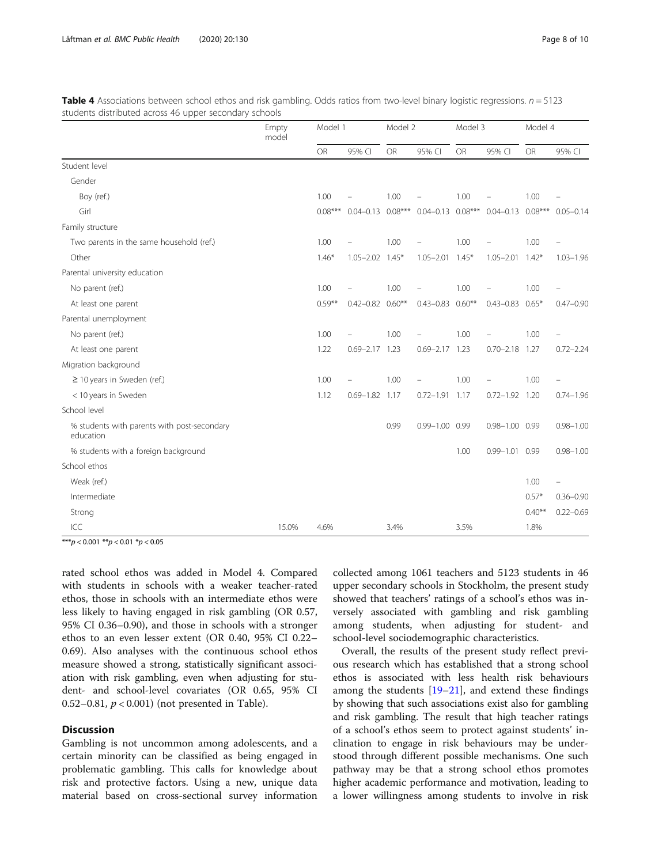|                                                          | Empty<br>model | Model 1   |                        | Model 2   |                                                                         | Model 3   |                       | Model 4   |               |
|----------------------------------------------------------|----------------|-----------|------------------------|-----------|-------------------------------------------------------------------------|-----------|-----------------------|-----------|---------------|
|                                                          |                | <b>OR</b> | 95% CI                 | <b>OR</b> | 95% CI                                                                  | <b>OR</b> | 95% CI                | <b>OR</b> | 95% CI        |
| Student level                                            |                |           |                        |           |                                                                         |           |                       |           |               |
| Gender                                                   |                |           |                        |           |                                                                         |           |                       |           |               |
| Boy (ref.)                                               |                | 1.00      |                        | 1.00      |                                                                         | 1.00      |                       | 1.00      |               |
| Girl                                                     |                | $0.08***$ |                        |           | $0.04 - 0.13$ $0.08***$ $0.04 - 0.13$ $0.08***$ $0.04 - 0.13$ $0.08***$ |           |                       |           | $0.05 - 0.14$ |
| Family structure                                         |                |           |                        |           |                                                                         |           |                       |           |               |
| Two parents in the same household (ref.)                 |                | 1.00      |                        | 1.00      |                                                                         | 1.00      |                       | 1.00      |               |
| Other                                                    |                | $1.46*$   | $1.05 - 2.02$ $1.45*$  |           | $1.05 - 2.01$ $1.45*$                                                   |           | $1.05 - 2.01$ $1.42*$ |           | $1.03 - 1.96$ |
| Parental university education                            |                |           |                        |           |                                                                         |           |                       |           |               |
| No parent (ref.)                                         |                | 1.00      |                        | 1.00      |                                                                         | 1.00      |                       | 1.00      |               |
| At least one parent                                      |                | $0.59***$ | $0.42 - 0.82$ $0.60**$ |           | $0.43 - 0.83$                                                           | $0.60**$  | $0.43 - 0.83$         | $0.65*$   | $0.47 - 0.90$ |
| Parental unemployment                                    |                |           |                        |           |                                                                         |           |                       |           |               |
| No parent (ref.)                                         |                | 1.00      |                        | 1.00      |                                                                         | 1.00      |                       | 1.00      |               |
| At least one parent                                      |                | 1.22      | $0.69 - 2.17$ 1.23     |           | $0.69 - 2.17$ 1.23                                                      |           | $0.70 - 2.18$ 1.27    |           | $0.72 - 2.24$ |
| Migration background                                     |                |           |                        |           |                                                                         |           |                       |           |               |
| $\geq$ 10 years in Sweden (ref.)                         |                | 1.00      |                        | 1.00      |                                                                         | 1.00      |                       | 1.00      | -             |
| < 10 years in Sweden                                     |                | 1.12      | $0.69 - 1.82$ 1.17     |           | $0.72 - 1.91$ 1.17                                                      |           | $0.72 - 1.92$ 1.20    |           | $0.74 - 1.96$ |
| School level                                             |                |           |                        |           |                                                                         |           |                       |           |               |
| % students with parents with post-secondary<br>education |                |           |                        | 0.99      | $0.99 - 1.00$ 0.99                                                      |           | $0.98 - 1.00$ 0.99    |           | $0.98 - 1.00$ |
| % students with a foreign background                     |                |           |                        |           |                                                                         | 1.00      | $0.99 - 1.01$ 0.99    |           | $0.98 - 1.00$ |
| School ethos                                             |                |           |                        |           |                                                                         |           |                       |           |               |
| Weak (ref.)                                              |                |           |                        |           |                                                                         |           |                       | 1.00      | $\equiv$      |
| Intermediate                                             |                |           |                        |           |                                                                         |           |                       | $0.57*$   | $0.36 - 0.90$ |
| Strong                                                   |                |           |                        |           |                                                                         |           |                       | $0.40**$  | $0.22 - 0.69$ |
| ICC                                                      | 15.0%          | 4.6%      |                        | 3.4%      |                                                                         | 3.5%      |                       | 1.8%      |               |

<span id="page-7-0"></span>Table 4 Associations between school ethos and risk gambling. Odds ratios from two-level binary logistic regressions.  $n = 5123$ students distributed across 46 upper secondary schools

 $\frac{1}{100} \times p < 0.001 \times p < 0.01 \times p < 0.05$ 

rated school ethos was added in Model 4. Compared with students in schools with a weaker teacher-rated ethos, those in schools with an intermediate ethos were less likely to having engaged in risk gambling (OR 0.57, 95% CI 0.36–0.90), and those in schools with a stronger ethos to an even lesser extent (OR 0.40, 95% CI 0.22– 0.69). Also analyses with the continuous school ethos measure showed a strong, statistically significant association with risk gambling, even when adjusting for student- and school-level covariates (OR 0.65, 95% CI 0.52–0.81,  $p < 0.001$ ) (not presented in Table).

# **Discussion**

Gambling is not uncommon among adolescents, and a certain minority can be classified as being engaged in problematic gambling. This calls for knowledge about risk and protective factors. Using a new, unique data material based on cross-sectional survey information collected among 1061 teachers and 5123 students in 46 upper secondary schools in Stockholm, the present study showed that teachers' ratings of a school's ethos was inversely associated with gambling and risk gambling among students, when adjusting for student- and school-level sociodemographic characteristics.

Overall, the results of the present study reflect previous research which has established that a strong school ethos is associated with less health risk behaviours among the students [\[19](#page-9-0)–[21\]](#page-9-0), and extend these findings by showing that such associations exist also for gambling and risk gambling. The result that high teacher ratings of a school's ethos seem to protect against students' inclination to engage in risk behaviours may be understood through different possible mechanisms. One such pathway may be that a strong school ethos promotes higher academic performance and motivation, leading to a lower willingness among students to involve in risk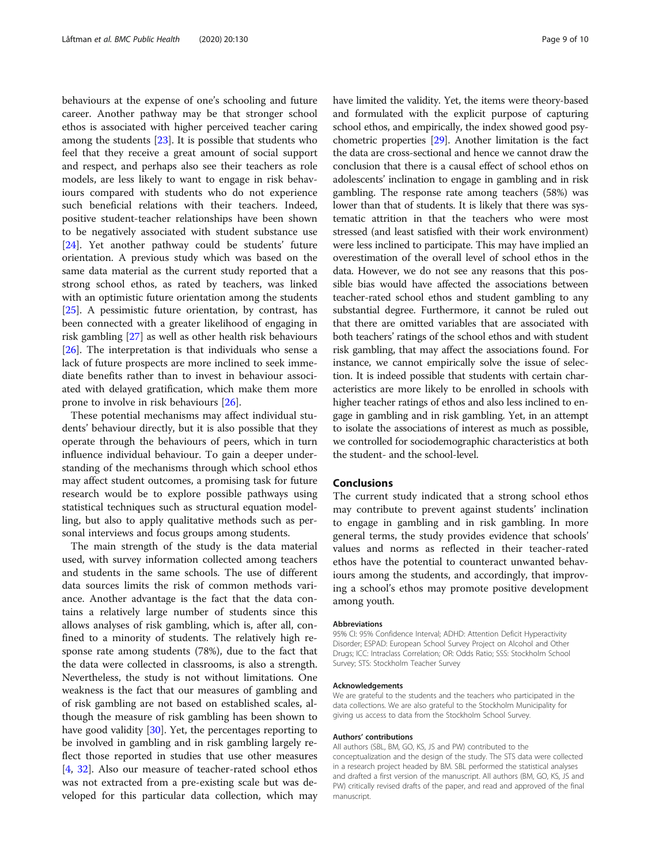behaviours at the expense of one's schooling and future career. Another pathway may be that stronger school ethos is associated with higher perceived teacher caring among the students  $[23]$ . It is possible that students who feel that they receive a great amount of social support and respect, and perhaps also see their teachers as role models, are less likely to want to engage in risk behaviours compared with students who do not experience such beneficial relations with their teachers. Indeed, positive student-teacher relationships have been shown to be negatively associated with student substance use [[24\]](#page-9-0). Yet another pathway could be students' future orientation. A previous study which was based on the same data material as the current study reported that a strong school ethos, as rated by teachers, was linked with an optimistic future orientation among the students [[25\]](#page-9-0). A pessimistic future orientation, by contrast, has been connected with a greater likelihood of engaging in risk gambling [\[27](#page-9-0)] as well as other health risk behaviours [[26\]](#page-9-0). The interpretation is that individuals who sense a lack of future prospects are more inclined to seek immediate benefits rather than to invest in behaviour associated with delayed gratification, which make them more prone to involve in risk behaviours [[26\]](#page-9-0).

These potential mechanisms may affect individual students' behaviour directly, but it is also possible that they operate through the behaviours of peers, which in turn influence individual behaviour. To gain a deeper understanding of the mechanisms through which school ethos may affect student outcomes, a promising task for future research would be to explore possible pathways using statistical techniques such as structural equation modelling, but also to apply qualitative methods such as personal interviews and focus groups among students.

The main strength of the study is the data material used, with survey information collected among teachers and students in the same schools. The use of different data sources limits the risk of common methods variance. Another advantage is the fact that the data contains a relatively large number of students since this allows analyses of risk gambling, which is, after all, confined to a minority of students. The relatively high response rate among students (78%), due to the fact that the data were collected in classrooms, is also a strength. Nevertheless, the study is not without limitations. One weakness is the fact that our measures of gambling and of risk gambling are not based on established scales, although the measure of risk gambling has been shown to have good validity [\[30](#page-9-0)]. Yet, the percentages reporting to be involved in gambling and in risk gambling largely reflect those reported in studies that use other measures [[4,](#page-9-0) [32\]](#page-9-0). Also our measure of teacher-rated school ethos was not extracted from a pre-existing scale but was developed for this particular data collection, which may have limited the validity. Yet, the items were theory-based and formulated with the explicit purpose of capturing school ethos, and empirically, the index showed good psychometric properties [\[29\]](#page-9-0). Another limitation is the fact the data are cross-sectional and hence we cannot draw the conclusion that there is a causal effect of school ethos on adolescents' inclination to engage in gambling and in risk gambling. The response rate among teachers (58%) was lower than that of students. It is likely that there was systematic attrition in that the teachers who were most stressed (and least satisfied with their work environment) were less inclined to participate. This may have implied an overestimation of the overall level of school ethos in the data. However, we do not see any reasons that this possible bias would have affected the associations between teacher-rated school ethos and student gambling to any substantial degree. Furthermore, it cannot be ruled out that there are omitted variables that are associated with both teachers' ratings of the school ethos and with student risk gambling, that may affect the associations found. For instance, we cannot empirically solve the issue of selection. It is indeed possible that students with certain characteristics are more likely to be enrolled in schools with higher teacher ratings of ethos and also less inclined to engage in gambling and in risk gambling. Yet, in an attempt to isolate the associations of interest as much as possible, we controlled for sociodemographic characteristics at both the student- and the school-level.

# Conclusions

The current study indicated that a strong school ethos may contribute to prevent against students' inclination to engage in gambling and in risk gambling. In more general terms, the study provides evidence that schools' values and norms as reflected in their teacher-rated ethos have the potential to counteract unwanted behaviours among the students, and accordingly, that improving a school's ethos may promote positive development among youth.

#### **Abbreviations**

95% CI: 95% Confidence Interval; ADHD: Attention Deficit Hyperactivity Disorder; ESPAD: European School Survey Project on Alcohol and Other Drugs; ICC: Intraclass Correlation; OR: Odds Ratio; SSS: Stockholm School Survey; STS: Stockholm Teacher Survey

#### Acknowledgements

We are grateful to the students and the teachers who participated in the data collections. We are also grateful to the Stockholm Municipality for giving us access to data from the Stockholm School Survey.

#### Authors' contributions

All authors (SBL, BM, GO, KS, JS and PW) contributed to the conceptualization and the design of the study. The STS data were collected in a research project headed by BM. SBL performed the statistical analyses and drafted a first version of the manuscript. All authors (BM, GO, KS, JS and PW) critically revised drafts of the paper, and read and approved of the final manuscript.